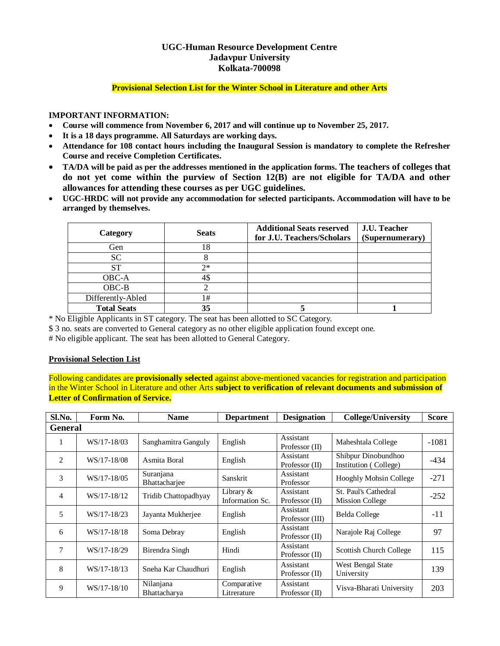# **UGC-Human Resource Development Centre Jadavpur University Kolkata-700098**

### **Provisional Selection List for the Winter School in Literature and other Arts**

#### **IMPORTANT INFORMATION:**

- **Course will commence from November 6, 2017 and will continue up to November 25, 2017.**
- **It is a 18 days programme. All Saturdays are working days.**
- **Attendance for 108 contact hours including the Inaugural Session is mandatory to complete the Refresher Course and receive Completion Certificates.**
- **TA/DA will be paid as per the addresses mentioned in the application forms. The teachers of colleges that do not yet come within the purview of Section 12(B) are not eligible for TA/DA and other allowances for attending these courses as per UGC guidelines.**
- **UGC-HRDC will not provide any accommodation for selected participants. Accommodation will have to be arranged by themselves.**

| Category           | <b>Seats</b> | <b>Additional Seats reserved</b><br>for J.U. Teachers/Scholars | J.U. Teacher<br>(Supernumerary) |
|--------------------|--------------|----------------------------------------------------------------|---------------------------------|
| Gen                | 18           |                                                                |                                 |
| <b>SC</b>          | Ω            |                                                                |                                 |
| <b>ST</b>          | $2*$         |                                                                |                                 |
| OBC-A              | 45           |                                                                |                                 |
| $OBC-B$            |              |                                                                |                                 |
| Differently-Abled  | 1#           |                                                                |                                 |
| <b>Total Seats</b> | 35           |                                                                |                                 |

\* No Eligible Applicants in ST category. The seat has been allotted to SC Category.

\$ 3 no. seats are converted to General category as no other eligible application found except one.

# No eligible applicant. The seat has been allotted to General Category.

## **Provisional Selection List**

Following candidates are **provisionally selected** against above-mentioned vacancies for registration and participation in the Winter School in Literature and other Arts **subject to verification of relevant documents and submission of Letter of Confirmation of Service.**

| Sl.No.         | Form No.    | <b>Name</b>                | <b>Department</b>              | <b>Designation</b>            | <b>College/University</b>                      | <b>Score</b> |
|----------------|-------------|----------------------------|--------------------------------|-------------------------------|------------------------------------------------|--------------|
| <b>General</b> |             |                            |                                |                               |                                                |              |
| 1              | WS/17-18/03 | Sanghamitra Ganguly        | English                        | Assistant<br>Professor $(II)$ | Maheshtala College                             | $-1081$      |
| 2              | WS/17-18/08 | Asmita Boral               | English                        | Assistant<br>Professor (II)   | Shibpur Dinobundhoo<br>Institution (College)   | $-434$       |
| 3              | WS/17-18/05 | Suranjana<br>Bhattachariee | Sanskrit                       | Assistant<br>Professor        | Hooghly Mohsin College                         | $-271$       |
| $\overline{4}$ | WS/17-18/12 | Tridib Chattopadhyay       | Library $&$<br>Information Sc. | Assistant<br>Professor (II)   | St. Paul's Cathedral<br><b>Mission College</b> | $-252$       |
| 5              | WS/17-18/23 | Jayanta Mukherjee          | English                        | Assistant<br>Professor (III)  | <b>Belda College</b>                           | $-11$        |
| 6              | WS/17-18/18 | Soma Debray                | English                        | Assistant<br>Professor $(II)$ | Narajole Raj College                           | 97           |
| 7              | WS/17-18/29 | Birendra Singh             | Hindi                          | Assistant<br>Professor $(II)$ | Scottish Church College                        | 115          |
| 8              | WS/17-18/13 | Sneha Kar Chaudhuri        | English                        | Assistant<br>Professor $(II)$ | West Bengal State<br>University                | 139          |
| 9              | WS/17-18/10 | Nilanjana<br>Bhattacharya  | Comparative<br>Litrerature     | Assistant<br>Professor $(II)$ | Visva-Bharati University                       | 203          |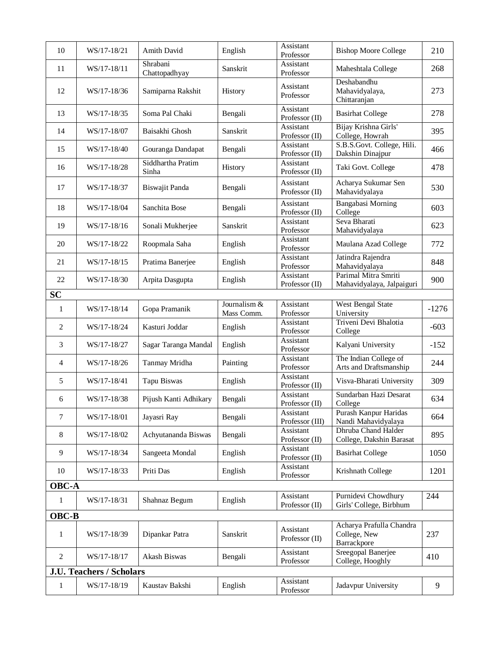| 10                              | WS/17-18/21 | Amith David                | English                    | Assistant<br>Professor       | <b>Bishop Moore College</b>                             | 210     |  |
|---------------------------------|-------------|----------------------------|----------------------------|------------------------------|---------------------------------------------------------|---------|--|
| 11                              | WS/17-18/11 | Shrabani<br>Chattopadhyay  | Sanskrit                   | Assistant<br>Professor       | Maheshtala College                                      | 268     |  |
| 12                              | WS/17-18/36 | Samiparna Rakshit          | History                    | Assistant<br>Professor       | Deshabandhu<br>Mahavidyalaya,<br>Chittaranjan           | 273     |  |
| 13                              | WS/17-18/35 | Soma Pal Chaki             | Bengali                    | Assistant<br>Professor (II)  | <b>Basirhat College</b>                                 | 278     |  |
| 14                              | WS/17-18/07 | Baisakhi Ghosh             | Sanskrit                   | Assistant<br>Professor (II)  | Bijay Krishna Girls'<br>College, Howrah                 | 395     |  |
| 15                              | WS/17-18/40 | Gouranga Dandapat          | Bengali                    | Assistant<br>Professor (II)  | S.B.S.Govt. College, Hili.<br>Dakshin Dinajpur          | 466     |  |
| 16                              | WS/17-18/28 | Siddhartha Pratim<br>Sinha | History                    | Assistant<br>Professor (II)  | Taki Govt. College                                      | 478     |  |
| 17                              | WS/17-18/37 | Biswajit Panda             | Bengali                    | Assistant<br>Professor (II)  | Acharya Sukumar Sen<br>Mahavidyalaya                    | 530     |  |
| 18                              | WS/17-18/04 | Sanchita Bose              | Bengali                    | Assistant<br>Professor (II)  | <b>Bangabasi Morning</b><br>College                     | 603     |  |
| 19                              | WS/17-18/16 | Sonali Mukherjee           | Sanskrit                   | Assistant<br>Professor       | Seva Bharati<br>Mahavidyalaya                           | 623     |  |
| 20                              | WS/17-18/22 | Roopmala Saha              | English                    | Assistant<br>Professor       | Maulana Azad College                                    | 772     |  |
| 21                              | WS/17-18/15 | Pratima Banerjee           | English                    | Assistant<br>Professor       | Jatindra Rajendra<br>Mahavidyalaya                      | 848     |  |
| 22                              | WS/17-18/30 | Arpita Dasgupta            | English                    | Assistant<br>Professor (II)  | Parimal Mitra Smriti<br>Mahavidyalaya, Jalpaiguri       | 900     |  |
| <b>SC</b>                       |             |                            |                            |                              |                                                         |         |  |
| 1                               | WS/17-18/14 | Gopa Pramanik              | Journalism &<br>Mass Comm. | Assistant<br>Professor       | West Bengal State<br>University                         | $-1276$ |  |
| 2                               | WS/17-18/24 | Kasturi Joddar             | English                    | Assistant<br>Professor       | Triveni Devi Bhalotia<br>College                        | $-603$  |  |
| 3                               | WS/17-18/27 | Sagar Taranga Mandal       | English                    | Assistant<br>Professor       | Kalyani University                                      | $-152$  |  |
| $\overline{4}$                  | WS/17-18/26 | Tanmay Mridha              | Painting                   | Assistant<br>Professor       | The Indian College of<br>Arts and Draftsmanship         | 244     |  |
| 5                               | WS/17-18/41 | Tapu Biswas                | English                    | Assistant<br>Professor (II)  | Visva-Bharati University                                | 309     |  |
| 6                               | WS/17-18/38 | Pijush Kanti Adhikary      | Bengali                    | Assistant<br>Professor (II)  | Sundarban Hazi Desarat<br>College                       | 634     |  |
| $\tau$                          | WS/17-18/01 | Jayasri Ray                | Bengali                    | Assistant<br>Professor (III) | Purash Kanpur Haridas<br>Nandi Mahavidyalaya            | 664     |  |
| 8                               | WS/17-18/02 | Achyutananda Biswas        | Bengali                    | Assistant<br>Professor (II)  | Dhruba Chand Halder<br>College, Dakshin Barasat         | 895     |  |
| 9                               | WS/17-18/34 | Sangeeta Mondal            | English                    | Assistant<br>Professor (II)  | <b>Basirhat College</b>                                 | 1050    |  |
| 10                              | WS/17-18/33 | Priti Das                  | English                    | Assistant<br>Professor       | Krishnath College                                       | 1201    |  |
| <b>OBC-A</b>                    |             |                            |                            |                              |                                                         |         |  |
| $\mathbf{1}$                    | WS/17-18/31 | Shahnaz Begum              | English                    | Assistant<br>Professor (II)  | Purnidevi Chowdhury<br>Girls' College, Birbhum          | 244     |  |
|                                 | OBC-B       |                            |                            |                              |                                                         |         |  |
| 1                               | WS/17-18/39 | Dipankar Patra             | Sanskrit                   | Assistant<br>Professor (II)  | Acharya Prafulla Chandra<br>College, New<br>Barrackpore | 237     |  |
| $\overline{2}$                  | WS/17-18/17 | Akash Biswas               | Bengali                    | Assistant<br>Professor       | Sreegopal Banerjee<br>College, Hooghly                  | 410     |  |
| <b>J.U. Teachers / Scholars</b> |             |                            |                            |                              |                                                         |         |  |
| 1                               | WS/17-18/19 | Kaustav Bakshi             | English                    | Assistant<br>Professor       | Jadavpur University                                     | 9       |  |